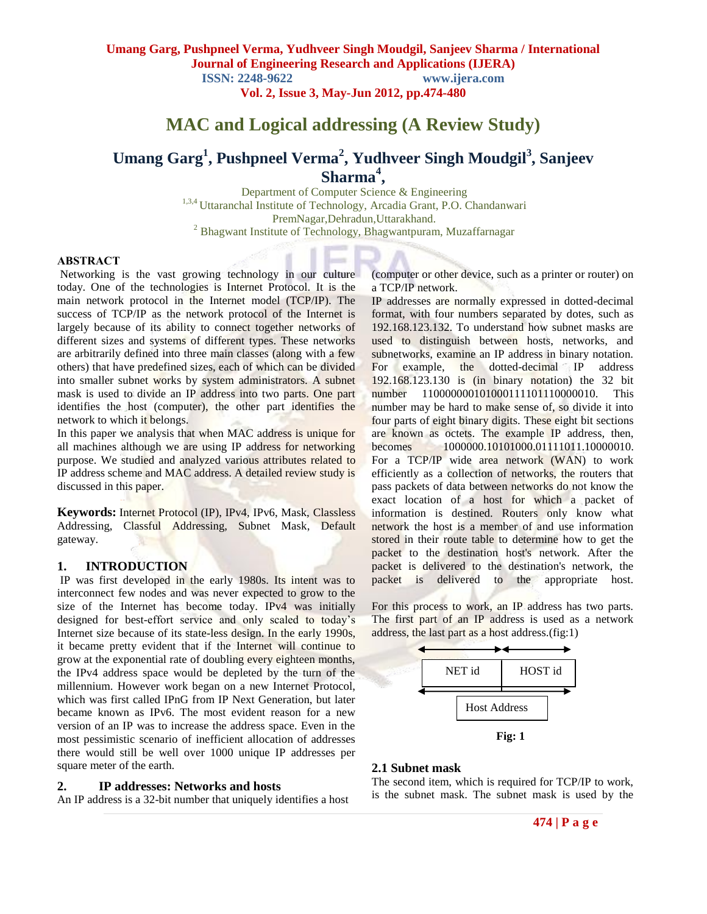**Vol. 2, Issue 3, May-Jun 2012, pp.474-480**

# **MAC and Logical addressing (A Review Study)**

# **Umang Garg<sup>1</sup> , Pushpneel Verma<sup>2</sup> , Yudhveer Singh Moudgil<sup>3</sup> , Sanjeev Sharma<sup>4</sup> ,**

Department of Computer Science & Engineering <sup>1,3,4</sup> Uttaranchal Institute of Technology, Arcadia Grant, P.O. Chandanwari PremNagar,Dehradun,Uttarakhand. <sup>2</sup> Bhagwant Institute of Technology, Bhagwantpuram, Muzaffarnagar

## **ABSTRACT**

Networking is the vast growing technology in our culture today. One of the technologies is Internet Protocol. It is the main network protocol in the Internet model (TCP/IP). The success of TCP/IP as the network protocol of the Internet is largely because of its ability to connect together networks of different sizes and systems of different types. These networks are arbitrarily defined into three main classes (along with a few others) that have predefined sizes, each of which can be divided into smaller subnet works by system administrators. A subnet mask is used to divide an IP address into two parts. One part identifies the host (computer), the other part identifies the network to which it belongs.

In this paper we analysis that when MAC address is unique for all machines although we are using IP address for networking purpose. We studied and analyzed various attributes related to IP address scheme and MAC address. A detailed review study is discussed in this paper.

**Keywords:** Internet Protocol (IP), IPv4, IPv6, Mask, Classless Addressing, Classful Addressing, Subnet Mask, Default gateway.

#### **1. INTRODUCTION**

IP was first developed in the early 1980s. Its intent was to interconnect few nodes and was never expected to grow to the size of the Internet has become today. IPv4 was initially designed for best-effort service and only scaled to today's Internet size because of its state-less design. In the early 1990s, it became pretty evident that if the Internet will continue to grow at the exponential rate of doubling every eighteen months, the IPv4 address space would be depleted by the turn of the millennium. However work began on a new Internet Protocol, which was first called IPnG from IP Next Generation, but later became known as IPv6. The most evident reason for a new version of an IP was to increase the address space. Even in the most pessimistic scenario of inefficient allocation of addresses there would still be well over 1000 unique IP addresses per square meter of the earth.

#### **2. IP addresses: Networks and hosts**

An IP address is a 32-bit number that uniquely identifies a host

(computer or other device, such as a printer or router) on a TCP/IP network.

IP addresses are normally expressed in dotted-decimal format, with four numbers separated by dotes, such as 192.168.123.132. To understand how subnet masks are used to distinguish between hosts, networks, and subnetworks, examine an IP address in binary notation. For example, the dotted-decimal IP address 192.168.123.130 is (in binary notation) the 32 bit number 110000000101000111101110000010. This number may be hard to make sense of, so divide it into four parts of eight binary digits. These eight bit sections are known as octets. The example IP address, then, becomes 1000000.10101000.01111011.10000010. For a TCP/IP wide area network (WAN) to work efficiently as a collection of networks, the routers that pass packets of data between networks do not know the exact location of a host for which a packet of information is destined. Routers only know what network the host is a member of and use information stored in their route table to determine how to get the packet to the destination host's network. After the packet is delivered to the destination's network, the packet is delivered to the appropriate host.

For this process to work, an IP address has two parts. The first part of an IP address is used as a network address, the last part as a host address.(fig:1)



#### **2.1 Subnet mask**

The second item, which is required for TCP/IP to work, is the subnet mask. The subnet mask is used by the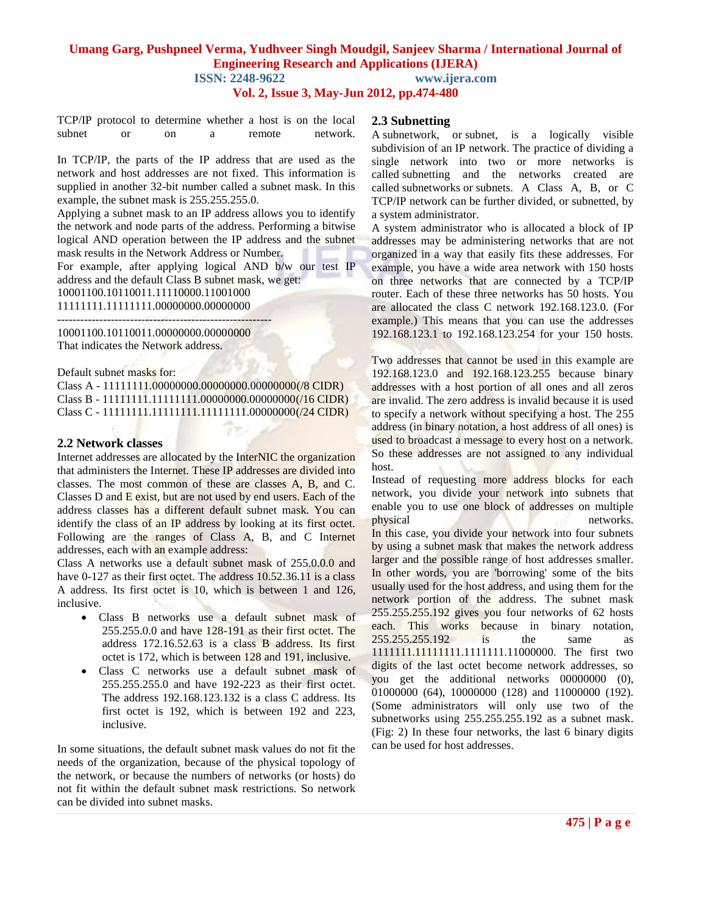**ISSN: 2248-9622 www.ijera.com**

**Vol. 2, Issue 3, May-Jun 2012, pp.474-480**

TCP/IP protocol to determine whether a host is on the local subnet or on a remote network.

In TCP/IP, the parts of the IP address that are used as the network and host addresses are not fixed. This information is supplied in another 32-bit number called a subnet mask. In this example, the subnet mask is 255.255.255.0.

Applying a subnet mask to an IP address allows you to identify the network and node parts of the address. Performing a bitwise logical AND operation between the IP address and the subnet mask results in the Network Address or Number.

For example, after applying logical AND b/w our test IP address and the default Class B subnet mask, we get:

10001100.10110011.11110000.11001000 11111111.11111111.00000000.00000000

--------------------------------------------------------

10001100.10110011.00000000.00000000 That indicates the Network address.

Default subnet masks for:

Class A - 11111111.00000000.00000000.00000000(/8 CIDR) Class B - 11111111.11111111.00000000.00000000(/16 CIDR) Class C - 11111111.11111111.11111111.00000000(/24 CIDR)

#### **2.2 Network classes**

Internet addresses are allocated by the InterNIC the organization that administers the Internet. These IP addresses are divided into classes. The most common of these are classes A, B, and C. Classes D and E exist, but are not used by end users. Each of the address classes has a different default subnet mask. You can identify the class of an IP address by looking at its first octet. Following are the ranges of Class A, B, and C Internet addresses, each with an example address:

Class A networks use a default subnet mask of 255.0.0.0 and have 0-127 as their first octet. The address 10.52.36.11 is a class A address. Its first octet is 10, which is between 1 and 126, inclusive.

- Class B networks use a default subnet mask of 255.255.0.0 and have 128-191 as their first octet. The address 172.16.52.63 is a class B address. Its first octet is 172, which is between 128 and 191, inclusive.
- Class C networks use a default subnet mask of 255.255.255.0 and have 192-223 as their first octet. The address 192.168.123.132 is a class C address. Its first octet is 192, which is between 192 and 223, inclusive.

In some situations, the default subnet mask values do not fit the needs of the organization, because of the physical topology of the network, or because the numbers of networks (or hosts) do not fit within the default subnet mask restrictions. So network can be divided into subnet masks.

## **2.3 Subnetting**

A subnetwork, or subnet, is a logically visible subdivision of an [IP network.](http://en.wikipedia.org/wiki/IP_network) The practice of dividing a single network into two or more networks is called subnetting and the networks created are called subnetworks or subnets. A Class A, B, or C TCP/IP network can be further divided, or subnetted, by a system administrator.

A system administrator who is allocated a block of IP addresses may be administering networks that are not organized in a way that easily fits these addresses. For example, you have a wide area network with 150 hosts on three networks that are connected by a TCP/IP router. Each of these three networks has 50 hosts. You are allocated the class C network 192.168.123.0. (For example.) This means that you can use the addresses 192.168.123.1 to 192.168.123.254 for your 150 hosts.

Two addresses that cannot be used in this example are 192.168.123.0 and 192.168.123.255 because binary addresses with a host portion of all ones and all zeros are invalid. The zero address is invalid because it is used to specify a network without specifying a host. The 255 address (in binary notation, a host address of all ones) is used to broadcast a message to every host on a network. So these addresses are not assigned to any individual host.

Instead of requesting more address blocks for each network, you divide your network into subnets that enable you to use one block of addresses on multiple physical networks. In this case, you divide your network into four subnets by using a subnet mask that makes the network address larger and the possible range of host addresses smaller. In other words, you are 'borrowing' some of the bits usually used for the host address, and using them for the network portion of the address. The subnet mask 255.255.255.192 gives you four networks of 62 hosts each. This works because in binary notation, 255.255.255.192 is the same as 1111111.11111111.1111111.11000000. The first two digits of the last octet become network addresses, so you get the additional networks 00000000 (0), 01000000 (64), 10000000 (128) and 11000000 (192). (Some administrators will only use two of the subnetworks using 255.255.255.192 as a subnet mask. (Fig: 2) In these four networks, the last 6 binary digits can be used for host addresses.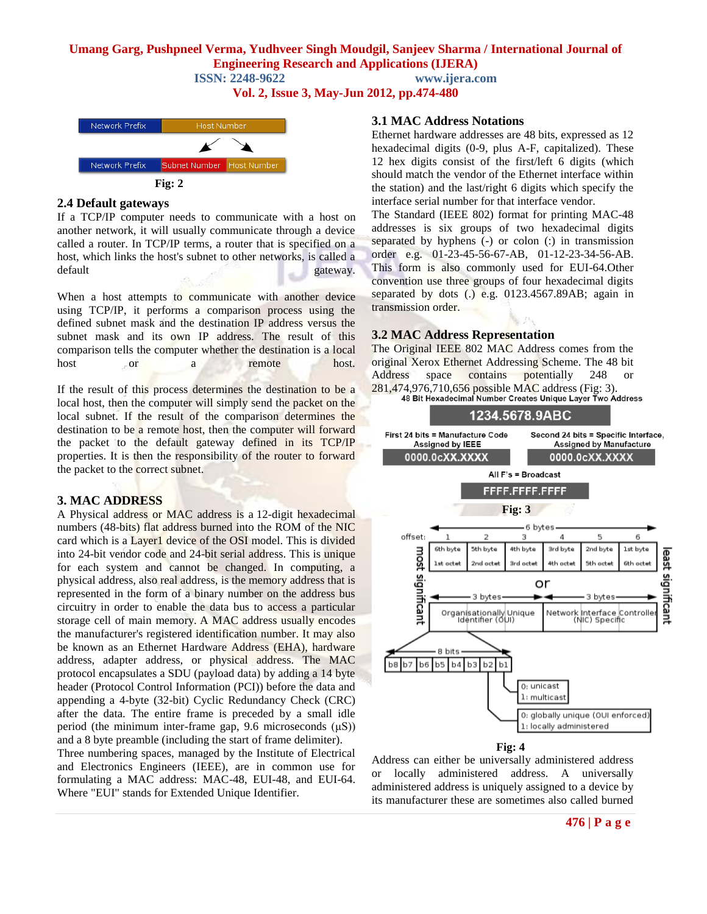**ISSN: 2248-9622 www.ijera.com**

**Vol. 2, Issue 3, May-Jun 2012, pp.474-480**



#### **2.4 Default gateways**

If a TCP/IP computer needs to communicate with a host on another network, it will usually communicate through a device called a router. In TCP/IP terms, a router that is specified on a host, which links the host's subnet to other networks, is called a default gateway.

When a host attempts to communicate with another device using TCP/IP, it performs a comparison process using the defined subnet mask and the destination IP address versus the subnet mask and its own IP address. The result of this comparison tells the computer whether the destination is a local host or a remote host.

If the result of this process determines the destination to be a local host, then the computer will simply send the packet on the local subnet. If the result of the comparison determines the destination to be a remote host, then the computer will forward the packet to the default gateway defined in its TCP/IP properties. It is then the responsibility of the router to forward the packet to the correct subnet.

## **3. MAC ADDRESS**

A Physical address or MAC address is a 12-digit hexadecimal numbers (48-bits) flat address burned into the ROM of the NIC card which is a Layer1 device of the OSI model. This is divided into 24-bit vendor code and 24-bit serial address. This is unique for each system and cannot be changed. In computing, a physical address, also real address, is the memory address that is represented in the form of a binary number on the address bus circuitry in order to enable the data bus to access a particular storage cell of main memory. A MAC address usually encodes the manufacturer's registered identification number. It may also be known as an Ethernet Hardware Address (EHA), hardware address, adapter address, or physical address. The MAC protocol encapsulates a SDU (payload data) by adding a 14 byte header (Protocol Control Information (PCI)) before the data and appending a 4-byte (32-bit) Cyclic Redundancy Check (CRC) after the data. The entire frame is preceded by a small idle period (the minimum inter-frame gap, 9.6 microseconds (μS)) and a 8 byte preamble (including the start of frame delimiter).

Three numbering spaces, managed by the Institute of Electrical and Electronics Engineers (IEEE), are in common use for formulating a MAC address: MAC-48, EUI-48, and EUI-64. Where "EUI" stands for Extended Unique Identifier.

#### **3.1 MAC Address Notations**

Ethernet hardware addresses are 48 bits, expressed as 12 hexadecimal digits (0-9, plus A-F, capitalized). These 12 hex digits consist of the first/left 6 digits (which should match the vendor of the Ethernet interface within the station) and the last/right 6 digits which specify the interface serial number for that interface vendor.

The Standard (IEEE 802) format for printing MAC-48 addresses is six groups of two hexadecimal digits separated by hyphens (-) or colon (:) in transmission order e.g. 01-23-45-56-67-AB, 01-12-23-34-56-AB. This form is also commonly used for EUI-64.Other convention use three groups of four hexadecimal digits separated by dots  $(.)$  e.g. 0123.4567.89AB; again in transmission order.

## **3.2 MAC Address Representation**

The Original IEEE 802 MAC Address comes from the original Xerox Ethernet Addressing Scheme. The 48 bit Address space contains potentially 248 or 281,474,976,710,656 possible MAC address (Fig: 3).



Address can either be universally administered address or locally administered address. A universally administered address is uniquely assigned to a device by its manufacturer these are sometimes also called burned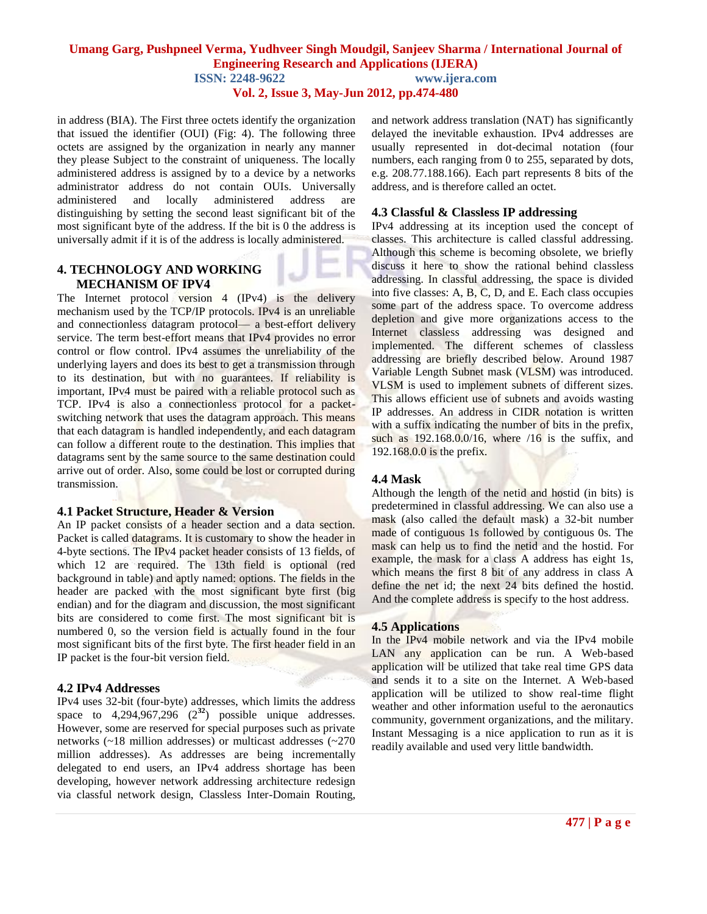**Vol. 2, Issue 3, May-Jun 2012, pp.474-480**

in address (BIA). The First three octets identify the organization that issued the identifier (OUI) (Fig: 4). The following three octets are assigned by the organization in nearly any manner they please Subject to the constraint of uniqueness. The locally administered address is assigned by to a device by a networks administrator address do not contain OUIs. Universally administered and locally administered address are distinguishing by setting the second least significant bit of the most significant byte of the address. If the bit is 0 the address is universally admit if it is of the address is locally administered.

#### **4. TECHNOLOGY AND WORKING MECHANISM OF IPV4**

The Internet protocol version 4 (IPv4) is the delivery mechanism used by the TCP/IP protocols. IPv4 is an unreliable and connectionless datagram protocol— a best-effort delivery service. The term best-effort means that IPv4 provides no error control or flow control. IPv4 assumes the unreliability of the underlying layers and does its best to get a transmission through to its destination, but with no guarantees. If reliability is important, IPv4 must be paired with a reliable protocol such as TCP. IPv4 is also a connectionless protocol for a packetswitching network that uses the datagram approach. This means that each datagram is handled independently, and each datagram can follow a different route to the destination. This implies that datagrams sent by the same source to the same destination could arrive out of order. Also, some could be lost or corrupted during transmission.

## **4.1 Packet Structure, Header & Version**

An IP packet consists of a header section and a data section. Packet is called datagrams. It is customary to show the header in 4-byte sections. The IPv4 packet header consists of 13 fields, of which 12 are required. The 13th field is optional (red background in table) and aptly named: options. The fields in the header are packed with the most significant byte first (big endian) and for the diagram and discussion, the most significant bits are considered to come first. The most significant bit is numbered 0, so the version field is actually found in the four most significant bits of the first byte. The first header field in an IP packet is the four-bit version field.

## **4.2 IPv4 Addresses**

IPv4 uses 32-bit (four-byte) addresses, which limits the address space to  $4,294,967,296$   $(2^{32})$  possible unique addresses. However, some are reserved for special purposes such as private networks (~18 million addresses) or multicast addresses (~270 million addresses). As addresses are being incrementally delegated to end users, an IPv4 address shortage has been developing, however network addressing architecture redesign via classful network design, Classless Inter-Domain Routing, and network address translation (NAT) has significantly delayed the inevitable exhaustion. IPv4 addresses are usually represented in dot-decimal notation (four numbers, each ranging from 0 to 255, separated by dots, e.g. 208.77.188.166). Each part represents 8 bits of the address, and is therefore called an octet.

## **4.3 Classful & Classless IP addressing**

IPv4 addressing at its inception used the concept of classes. This architecture is called classful addressing. Although this scheme is becoming obsolete, we briefly discuss it here to show the rational behind classless addressing. In classful addressing, the space is divided into five classes:  $A$ ,  $B$ ,  $C$ ,  $D$ , and  $E$ . Each class occupies some part of the address space. To overcome address depletion and give more organizations access to the Internet classless addressing was designed and implemented. The different schemes of classless addressing are briefly described below. Around 1987 Variable Length Subnet mask (VLSM) was introduced. VLSM is used to implement subnets of different sizes. This allows efficient use of subnets and avoids wasting IP addresses. An address in CIDR notation is written with a suffix indicating the number of bits in the prefix, such as 192.168.0.0/16, where /16 is the suffix, and 192.168.0.0 is the prefix.

## **4.4 Mask**

Although the length of the netid and hostid (in bits) is predetermined in classful addressing. We can also use a mask (also called the default mask) a 32-bit number made of contiguous 1s followed by contiguous 0s. The mask can help us to find the netid and the hostid. For example, the mask for a class A address has eight 1s, which means the first 8 bit of any address in class A define the net id; the next 24 bits defined the hostid. And the complete address is specify to the host address.

#### **4.5 Applications**

In the IPv4 mobile network and via the IPv4 mobile LAN any application can be run. A Web-based application will be utilized that take real time GPS data and sends it to a site on the Internet. A Web-based application will be utilized to show real-time flight weather and other information useful to the aeronautics community, government organizations, and the military. Instant Messaging is a nice application to run as it is readily available and used very little bandwidth.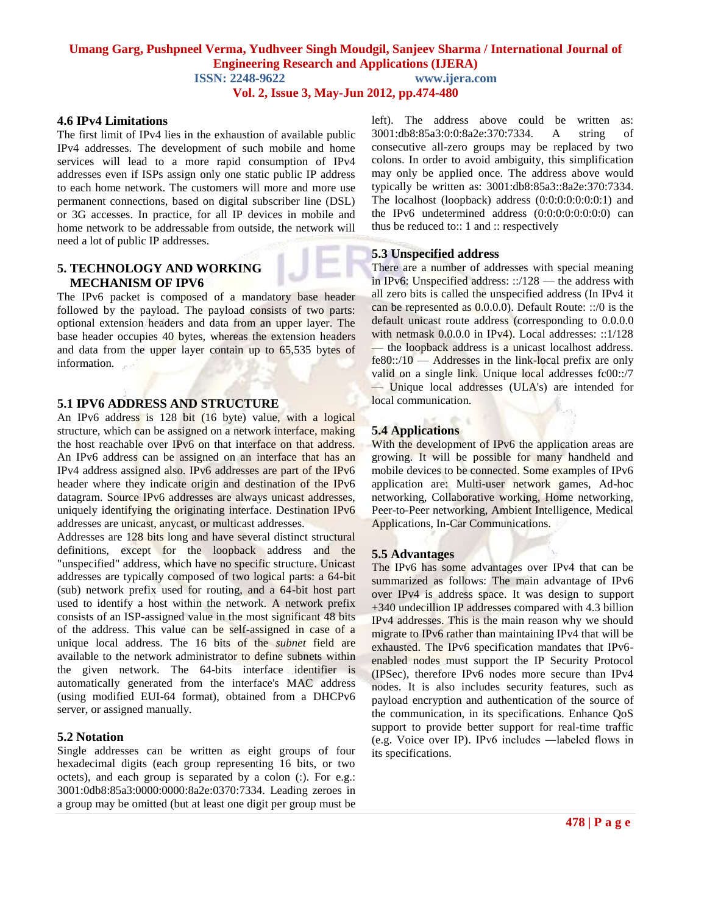**ISSN: 2248-9622 www.ijera.com**

**Vol. 2, Issue 3, May-Jun 2012, pp.474-480**

#### **4.6 IPv4 Limitations**

The first limit of IPv4 lies in the exhaustion of available public IPv4 addresses. The development of such mobile and home services will lead to a more rapid consumption of IPv4 addresses even if ISPs assign only one static public IP address to each home network. The customers will more and more use permanent connections, based on digital subscriber line (DSL) or 3G accesses. In practice, for all IP devices in mobile and home network to be addressable from outside, the network will need a lot of public IP addresses.

#### **5. TECHNOLOGY AND WORKING MECHANISM OF IPV6**

The IPv6 packet is composed of a mandatory base header followed by the payload. The payload consists of two parts: optional extension headers and data from an upper layer. The base header occupies 40 bytes, whereas the extension headers and data from the upper layer contain up to 65,535 bytes of information.

#### **5.1 IPV6 ADDRESS AND STRUCTURE**

An IPv6 address is 128 bit (16 byte) value, with a logical structure, which can be assigned on a network interface, making the host reachable over IPv6 on that interface on that address. An IPv6 address can be assigned on an interface that has an IPv4 address assigned also. IPv6 addresses are part of the IPv6 header where they indicate origin and destination of the IPv6 datagram. Source IPv6 addresses are always unicast addresses, uniquely identifying the originating interface. Destination IPv6 addresses are unicast, anycast, or multicast addresses.

Addresses are 128 bits long and have several distinct structural definitions, except for the loopback address and the "unspecified" address, which have no specific structure. Unicast addresses are typically composed of two logical parts: a 64-bit (sub) network prefix used for routing, and a 64-bit host part used to identify a host within the network. A network prefix consists of an ISP-assigned value in the most significant 48 bits of the address. This value can be self-assigned in case of a unique local address. The 16 bits of the *subnet* field are available to the network administrator to define subnets within the given network. The 64-bits interface identifier is automatically generated from the interface's MAC address (using modified EUI-64 format), obtained from a DHCPv6 server, or assigned manually.

#### **5.2 Notation**

Single addresses can be written as eight groups of four hexadecimal digits (each group representing 16 bits, or two octets), and each group is separated by a colon (:). For e.g.: 3001:0db8:85a3:0000:0000:8a2e:0370:7334. Leading zeroes in a group may be omitted (but at least one digit per group must be left). The address above could be written as: 3001:db8:85a3:0:0:8a2e:370:7334. A string of consecutive all-zero groups may be replaced by two colons. In order to avoid ambiguity, this simplification may only be applied once. The address above would typically be written as: 3001:db8:85a3::8a2e:370:7334. The localhost (loopback) address (0:0:0:0:0:0:0:1) and the IPv6 undetermined address (0:0:0:0:0:0:0:0) can thus be reduced to:: 1 and :: respectively

#### **5.3 Unspecified address**

There are a number of addresses with special meaning in IPv6: Unspecified address: ::/128 — the address with all zero bits is called the unspecified address (In IPv4 it can be represented as 0.0.0.0). Default Route: ::/0 is the default unicast route address (corresponding to 0.0.0.0 with netmask  $0.0.0.0$  in IPv4). Local addresses: ::1/128 — the loopback address is a unicast localhost address. fe80::/10 — Addresses in the link-local prefix are only valid on a single link. Unique local addresses fc00::/7 — Unique local addresses (ULA's) are intended for local communication.

#### **5.4 Applications**

With the development of IPv6 the application areas are growing. It will be possible for many handheld and mobile devices to be connected. Some examples of IPv6 application are: Multi-user network games, Ad-hoc networking, Collaborative working, Home networking, Peer-to-Peer networking, Ambient Intelligence, Medical Applications, In-Car Communications.

#### **5.5 Advantages**

The IPv6 has some advantages over IPv4 that can be summarized as follows: The main advantage of IPv6 over IPv4 is address space. It was design to support +340 undecillion IP addresses compared with 4.3 billion IPv4 addresses. This is the main reason why we should migrate to IPv6 rather than maintaining IPv4 that will be exhausted. The IPv6 specification mandates that IPv6 enabled nodes must support the IP Security Protocol (IPSec), therefore IPv6 nodes more secure than IPv4 nodes. It is also includes security features, such as payload encryption and authentication of the source of the communication, in its specifications. Enhance QoS support to provide better support for real-time traffic (e.g. Voice over IP). IPv6 includes ―labeled flows in its specifications.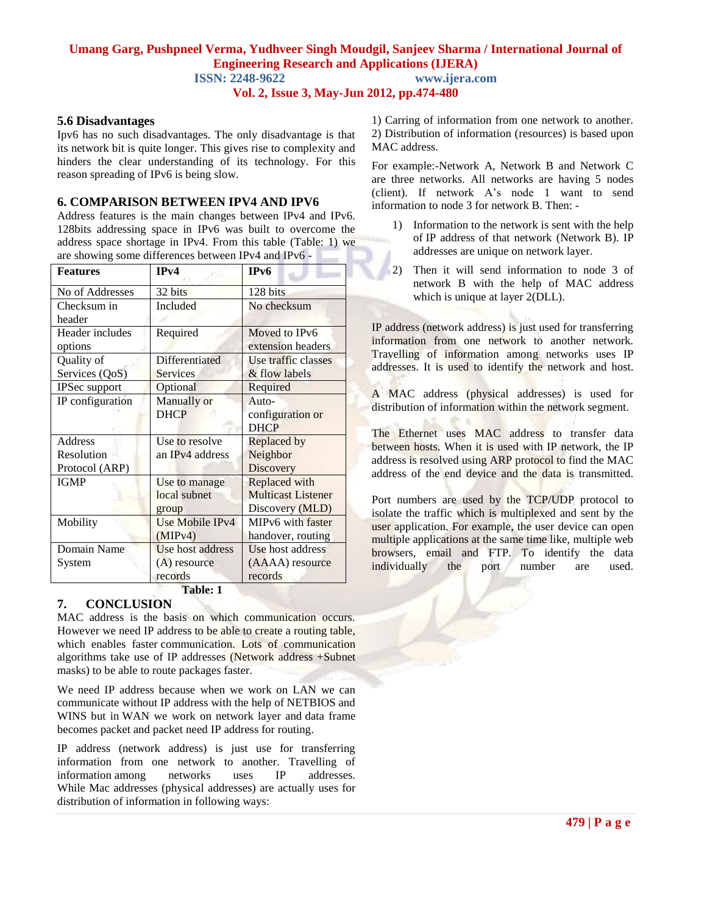**ISSN: 2248-9622 www.ijera.com**

**Vol. 2, Issue 3, May-Jun 2012, pp.474-480**

#### **5.6 Disadvantages**

Ipv6 has no such disadvantages. The only disadvantage is that its network bit is quite longer. This gives rise to complexity and hinders the clear understanding of its technology. For this reason spreading of IPv6 is being slow.

## **6. COMPARISON BETWEEN IPV4 AND IPV6**

Address features is the main changes between IPv4 and IPv6. 128bits addressing space in IPv6 was built to overcome the address space shortage in IPv4. From this table (Table: 1) we are showing some differences between IPv4 and IPv6 -

| <b>Features</b>                         | IPv4                                          | IP <sub>v</sub> 6                                             |
|-----------------------------------------|-----------------------------------------------|---------------------------------------------------------------|
| No of Addresses                         | 32 bits                                       | 128 bits                                                      |
| Checksum in<br>header                   | Included                                      | No checksum                                                   |
| Header includes<br>options              | Required                                      | Moved to IPv6<br>extension headers                            |
| Quality of<br>Services (QoS)            | <b>Differentiated</b><br><b>Services</b>      | Use traffic classes<br>& flow labels                          |
| IPSec support                           | Optional                                      | Required                                                      |
| IP configuration                        | Manually or<br><b>DHCP</b>                    | Auto-<br>configuration or<br><b>DHCP</b>                      |
| Address<br>Resolution<br>Protocol (ARP) | Use to resolve<br>an IPv4 address             | Replaced by<br>Neighbor<br>Discovery                          |
| <b>IGMP</b>                             | Use to manage<br>local subnet<br>group        | Replaced with<br><b>Multicast Listener</b><br>Discovery (MLD) |
| Mobility                                | Use Mobile IPv4<br>(MIPv4)                    | MIPv6 with faster<br>handover, routing                        |
| Domain Name<br>System                   | Use host address<br>$(A)$ resource<br>records | Use host address<br>(AAAA) resource<br>records                |

**Table: 1**

# **7. CONCLUSION**

MAC address is the basis on which communication occurs. However we need IP address to be able to create a routing table, which enables faster communication. Lots of communication algorithms take use of IP addresses (Network address +Subnet masks) to be able to route packages faster.

We need IP address because when we work on LAN we can communicate without IP address with the help of NETBIOS and WINS but in WAN we work on network layer and data frame becomes packet and packet need IP address for routing.

IP address (network address) is just use for transferring information from one network to another. Travelling of information among networks uses IP addresses. While Mac addresses (physical addresses) are actually uses for distribution of information in following ways:

1) Carring of information from one network to another. 2) Distribution of information (resources) is based upon MAC address.

For example:-Network A, Network B and Network C are three networks. All networks are having 5 nodes (client). If network A's node 1 want to send information to node 3 for network B. Then: -

- 1) Information to the network is sent with the help of IP address of that network (Network B). IP addresses are unique on network layer.
- 2) Then it will send information to node 3 of network B with the help of MAC address which is unique at layer 2(DLL).

IP address (network address) is just used for transferring information from one network to another network. Travelling of information among networks uses IP addresses. It is used to identify the network and host.

A MAC address (physical addresses) is used for distribution of information within the network segment.

The Ethernet uses MAC address to transfer data between hosts. When it is used with IP network, the IP address is resolved using ARP protocol to find the MAC address of the end device and the data is transmitted.

Port numbers are used by the TCP/UDP protocol to isolate the traffic which is multiplexed and sent by the user application. For example, the user device can open multiple applications at the same time like, multiple web browsers, email and FTP. To identify the data individually the port number are used.